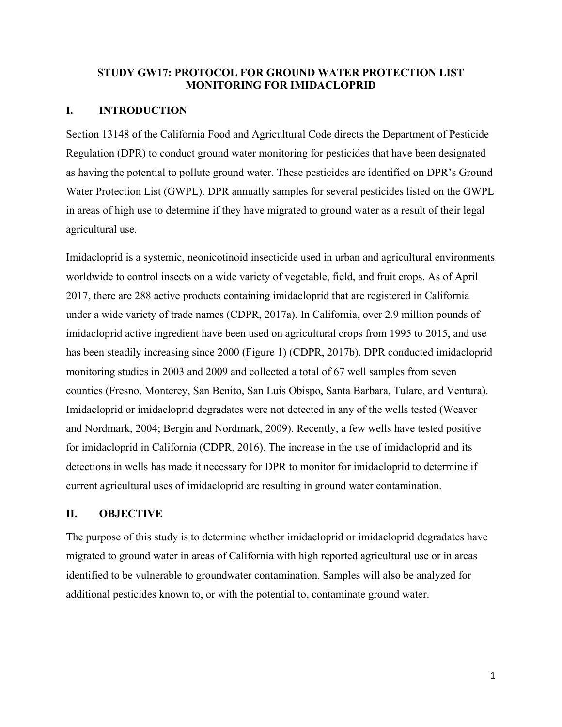#### **STUDY GW17: PROTOCOL FOR GROUND WATER PROTECTION LIST MONITORING FOR IMIDACLOPRID**

#### **I. INTRODUCTION**

Section 13148 of the California Food and Agricultural Code directs the Department of Pesticide Regulation (DPR) to conduct ground water monitoring for pesticides that have been designated as having the potential to pollute ground water. These pesticides are identified on DPR's Ground Water Protection List (GWPL). DPR annually samples for several pesticides listed on the GWPL in areas of high use to determine if they have migrated to ground water as a result of their legal agricultural use.

Imidacloprid is a systemic, neonicotinoid insecticide used in urban and agricultural environments worldwide to control insects on a wide variety of vegetable, field, and fruit crops. As of April 2017, there are 288 active products containing imidacloprid that are registered in California under a wide variety of trade names (CDPR, 2017a). In California, over 2.9 million pounds of imidacloprid active ingredient have been used on agricultural crops from 1995 to 2015, and use has been steadily increasing since 2000 (Figure 1) (CDPR, 2017b). DPR conducted imidacloprid monitoring studies in 2003 and 2009 and collected a total of 67 well samples from seven counties (Fresno, Monterey, San Benito, San Luis Obispo, Santa Barbara, Tulare, and Ventura). Imidacloprid or imidacloprid degradates were not detected in any of the wells tested (Weaver and Nordmark, 2004; Bergin and Nordmark, 2009). Recently, a few wells have tested positive for imidacloprid in California (CDPR, 2016). The increase in the use of imidacloprid and its detections in wells has made it necessary for DPR to monitor for imidacloprid to determine if current agricultural uses of imidacloprid are resulting in ground water contamination.

#### **II. OBJECTIVE**

The purpose of this study is to determine whether imidacloprid or imidacloprid degradates have migrated to ground water in areas of California with high reported agricultural use or in areas identified to be vulnerable to groundwater contamination. Samples will also be analyzed for additional pesticides known to, or with the potential to, contaminate ground water.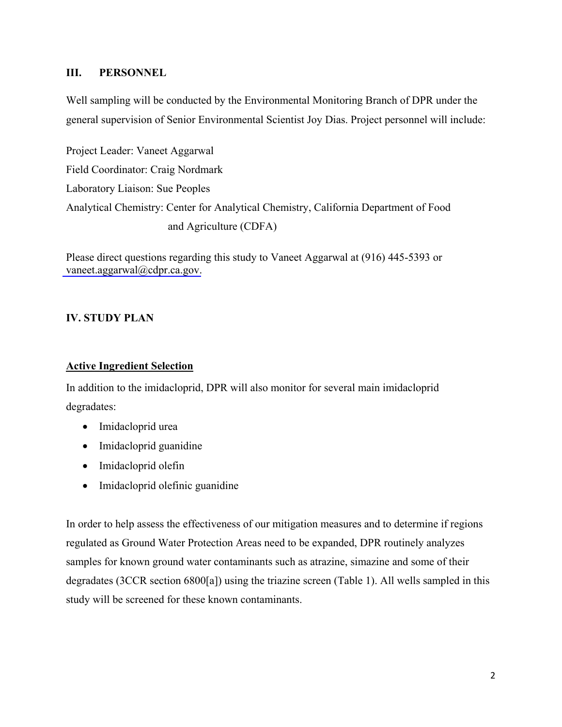## **III. PERSONNEL**

Well sampling will be conducted by the Environmental Monitoring Branch of DPR under the general supervision of Senior Environmental Scientist Joy Dias. Project personnel will include:

Project Leader: Vaneet Aggarwal Field Coordinator: Craig Nordmark Laboratory Liaison: Sue Peoples Analytical Chemistry: Center for Analytical Chemistry, California Department of Food and Agriculture (CDFA)

Please direct questions regarding this study to Vaneet Aggarwal at (916) 445-5393 or [vaneet.aggarwal@cdpr.ca.gov.](mailto:vaneet.aggarwal@cdpr.ca.gov?subject=custom subject&body=custom email body text)

## **IV. STUDY PLAN**

## **Active Ingredient Selection**

In addition to the imidacloprid, DPR will also monitor for several main imidacloprid degradates:

- Imidacloprid urea
- Imidacloprid guanidine
- Imidacloprid olefin
- Imidacloprid olefinic guanidine

In order to help assess the effectiveness of our mitigation measures and to determine if regions regulated as Ground Water Protection Areas need to be expanded, DPR routinely analyzes samples for known ground water contaminants such as atrazine, simazine and some of their degradates (3CCR section 6800[a]) using the triazine screen (Table 1). All wells sampled in this study will be screened for these known contaminants.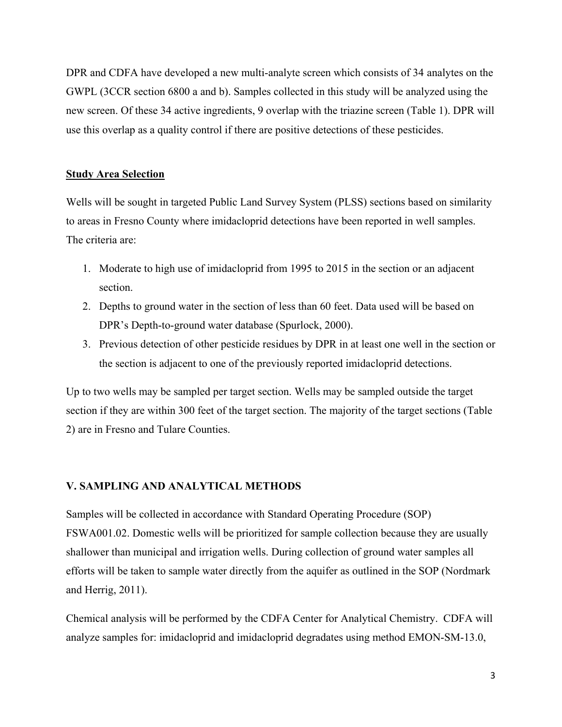DPR and CDFA have developed a new multi-analyte screen which consists of 34 analytes on the GWPL (3CCR section 6800 a and b). Samples collected in this study will be analyzed using the new screen. Of these 34 active ingredients, 9 overlap with the triazine screen (Table 1). DPR will use this overlap as a quality control if there are positive detections of these pesticides.

#### **Study Area Selection**

Wells will be sought in targeted Public Land Survey System (PLSS) sections based on similarity to areas in Fresno County where imidacloprid detections have been reported in well samples. The criteria are:

- 1. Moderate to high use of imidacloprid from 1995 to 2015 in the section or an adjacent section.
- 2. Depths to ground water in the section of less than 60 feet. Data used will be based on DPR's Depth-to-ground water database (Spurlock, 2000).
- 3. Previous detection of other pesticide residues by DPR in at least one well in the section or the section is adjacent to one of the previously reported imidacloprid detections.

Up to two wells may be sampled per target section. Wells may be sampled outside the target section if they are within 300 feet of the target section. The majority of the target sections (Table 2) are in Fresno and Tulare Counties.

#### **V. SAMPLING AND ANALYTICAL METHODS**

Samples will be collected in accordance with Standard Operating Procedure (SOP) FSWA001.02. Domestic wells will be prioritized for sample collection because they are usually shallower than municipal and irrigation wells. During collection of ground water samples all efforts will be taken to sample water directly from the aquifer as outlined in the SOP (Nordmark and Herrig, 2011).

Chemical analysis will be performed by the CDFA Center for Analytical Chemistry. CDFA will analyze samples for: imidacloprid and imidacloprid degradates using method EMON-SM-13.0,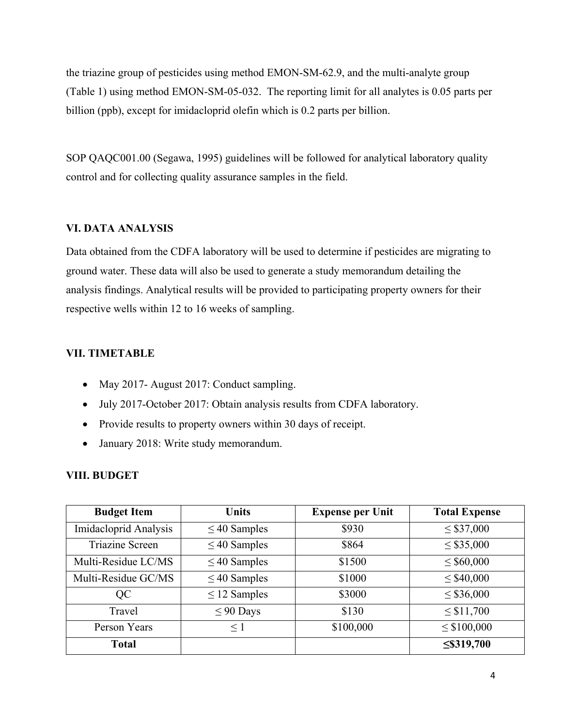the triazine group of pesticides using method EMON-SM-62.9, and the multi-analyte group (Table 1) using method EMON-SM-05-032. The reporting limit for all analytes is 0.05 parts per billion (ppb), except for imidacloprid olefin which is 0.2 parts per billion.

SOP QAQC001.00 (Segawa, 1995) guidelines will be followed for analytical laboratory quality control and for collecting quality assurance samples in the field.

## **VI. DATA ANALYSIS**

Data obtained from the CDFA laboratory will be used to determine if pesticides are migrating to ground water. These data will also be used to generate a study memorandum detailing the analysis findings. Analytical results will be provided to participating property owners for their respective wells within 12 to 16 weeks of sampling.

## **VII. TIMETABLE**

- May 2017- August 2017: Conduct sampling.
- July 2017-October 2017: Obtain analysis results from CDFA laboratory.
- Provide results to property owners within 30 days of receipt.
- January 2018: Write study memorandum.

## **VIII. BUDGET**

| <b>Budget Item</b>     | <b>Units</b>      | <b>Expense per Unit</b> | <b>Total Expense</b> |  |
|------------------------|-------------------|-------------------------|----------------------|--|
| Imidacloprid Analysis  | $\leq$ 40 Samples | \$930                   | $\leq$ \$37,000      |  |
| <b>Triazine Screen</b> | $\leq$ 40 Samples | \$864                   | $\leq$ \$35,000      |  |
| Multi-Residue LC/MS    | $\leq$ 40 Samples | \$1500                  | $\leq$ \$60,000      |  |
| Multi-Residue GC/MS    | $\leq$ 40 Samples | \$1000                  | $\leq$ \$40,000      |  |
| QC                     | $\leq$ 12 Samples | \$3000                  | $\leq$ \$36,000      |  |
| Travel                 | $\leq 90$ Days    | \$130                   | $\leq$ \$11,700      |  |
| Person Years           | $\leq$ 1          | \$100,000               | $\leq$ \$100,000     |  |
| Total                  |                   |                         | $\leq$ \$319,700     |  |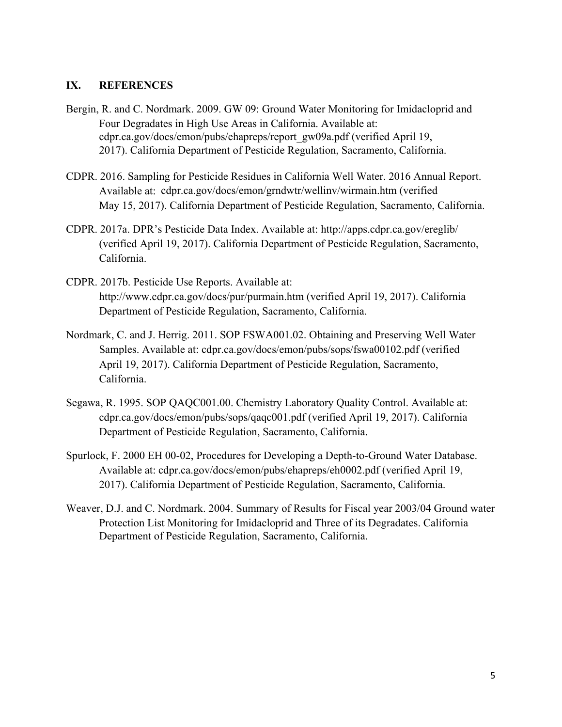## **IX. REFERENCES**

- Bergin, R. and C. Nordmark. 2009. GW 09: Ground Water Monitoring for Imidacloprid and Four Degradates in High Use Areas in California. Available at: cdpr.ca.gov/docs/emon/pubs/ehapreps/report\_gw09a.pdf (verified April 19, 2017). California Department of Pesticide Regulation, Sacramento, California.
- CDPR. 2016. Sampling for Pesticide Residues in California Well Water. 2016 Annual Report. Available at: cdpr.ca.gov/docs/emon/grndwtr/wellinv/wirmain.htm (verified May 15, 2017). California Department of Pesticide Regulation, Sacramento, California.
- CDPR. 2017a. DPR's Pesticide Data Index. Available at:<http://apps.cdpr.ca.gov/ereglib/> (verified April 19, 2017). California Department of Pesticide Regulation, Sacramento, California.
- CDPR. 2017b. Pesticide Use Reports. Available at: <http://www.cdpr.ca.gov/docs/pur/purmain.htm>(verified April 19, 2017). California Department of Pesticide Regulation, Sacramento, California.
- Nordmark, C. and J. Herrig. 2011. SOP FSWA001.02. Obtaining and Preserving Well Water Samples. Available at: cdpr.ca.gov/docs/emon/pubs/sops/fswa00102.pdf (verified April 19, 2017). California Department of Pesticide Regulation, Sacramento, California.
- Segawa, R. 1995. SOP QAQC001.00. Chemistry Laboratory Quality Control. Available at: cdpr.ca.gov/docs/emon/pubs/sops/qaqc001.pdf (verified April 19, 2017). California Department of Pesticide Regulation, Sacramento, California.
- Spurlock, F. 2000 EH 00-02, Procedures for Developing a Depth-to-Ground Water Database. Available at: cdpr.ca.gov/docs/emon/pubs/ehapreps/eh0002.pdf (verified April 19, 2017). California Department of Pesticide Regulation, Sacramento, California.
- Weaver, D.J. and C. Nordmark. 2004. Summary of Results for Fiscal year 2003/04 Ground water Protection List Monitoring for Imidacloprid and Three of its Degradates. California Department of Pesticide Regulation, Sacramento, California.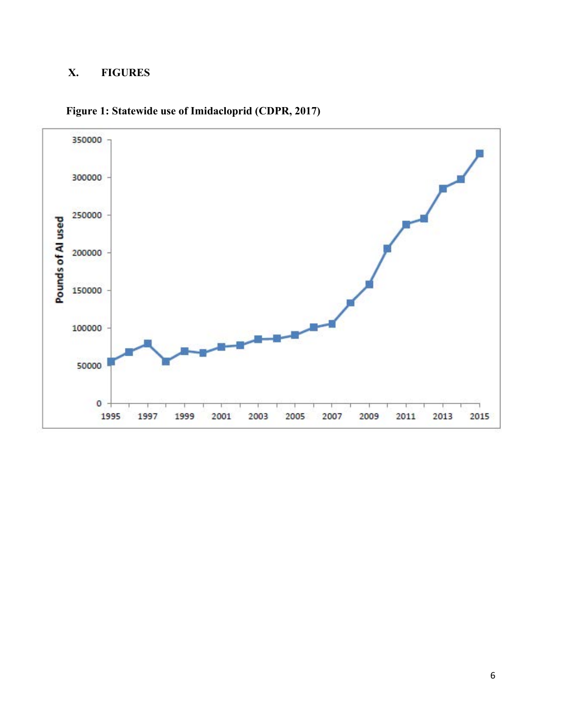# **X. FIGURES**



**Figure 1: Statewide use of Imidacloprid (CDPR, 2017)**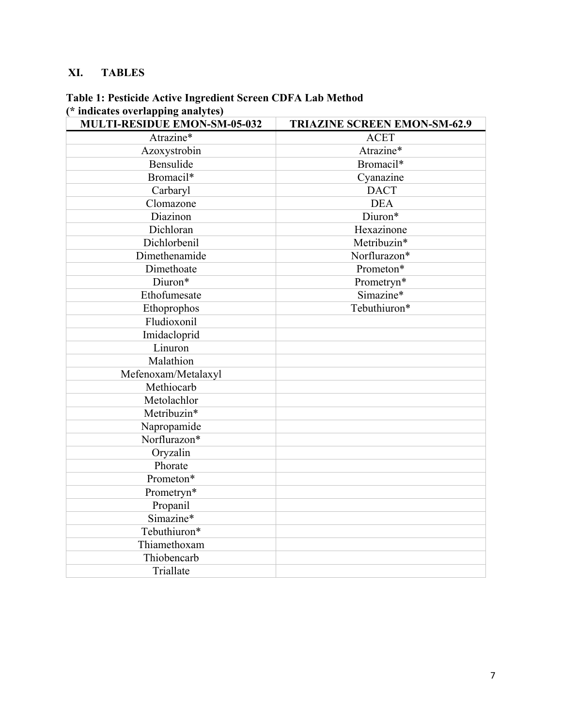# **XI. TABLES**

| <b>MULTI-RESIDUE EMON-SM-05-032</b> | <b>TRIAZINE SCREEN EMON-SM-62.9</b> |  |  |
|-------------------------------------|-------------------------------------|--|--|
| Atrazine*                           | <b>ACET</b>                         |  |  |
| Azoxystrobin                        | Atrazine*                           |  |  |
| Bensulide                           | Bromacil*                           |  |  |
| Bromacil*                           | Cyanazine                           |  |  |
| Carbaryl                            | <b>DACT</b>                         |  |  |
| Clomazone                           | <b>DEA</b>                          |  |  |
| Diazinon                            | Diuron*                             |  |  |
| Dichloran                           | Hexazinone                          |  |  |
| Dichlorbenil                        | Metribuzin*                         |  |  |
| Dimethenamide                       | Norflurazon*                        |  |  |
| Dimethoate                          | Prometon*                           |  |  |
| Diuron*                             | Prometryn*                          |  |  |
| Ethofumesate                        | Simazine*                           |  |  |
| Ethoprophos                         | Tebuthiuron*                        |  |  |
| Fludioxonil                         |                                     |  |  |
| Imidacloprid                        |                                     |  |  |
| Linuron                             |                                     |  |  |
| Malathion                           |                                     |  |  |
| Mefenoxam/Metalaxyl                 |                                     |  |  |
| Methiocarb                          |                                     |  |  |
| Metolachlor                         |                                     |  |  |
| Metribuzin*                         |                                     |  |  |
| Napropamide                         |                                     |  |  |
| Norflurazon*                        |                                     |  |  |
| Oryzalin                            |                                     |  |  |
| Phorate                             |                                     |  |  |
| Prometon*                           |                                     |  |  |
| Prometryn*                          |                                     |  |  |
| Propanil                            |                                     |  |  |
| Simazine*                           |                                     |  |  |
| Tebuthiuron*                        |                                     |  |  |
| Thiamethoxam                        |                                     |  |  |
| Thiobencarb                         |                                     |  |  |
| Triallate                           |                                     |  |  |

## **Table 1: Pesticide Active Ingredient Screen CDFA Lab Method (\* indicates overlapping analytes)**